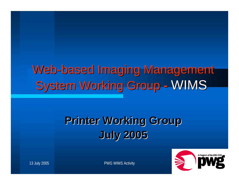#### Web-based Imaging Management **System Working Group** - WIMS

#### **Printer Working Group Printer Working Group July 2005 July 2005**



13 July 2005 PWG WIMS Activity 1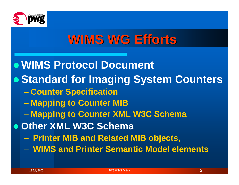

## **WIMS WG Efforts**

<sup>z</sup>**WIMS Protocol Document • Standard for Imaging System Counters Counter Specification Mapping to Counter MIB Mapping to Counter XML W3C Schema**  $\bullet$  **Other XML W3C Schema** – Paris Paris II.<br>Politika **Printer MIB and Related MIB objects,**  – **WIMS and Printer Semantic Model elements**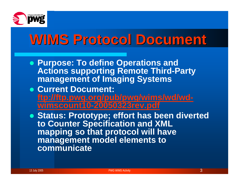

# **WIMS Protocol Document WIMS Protocol Document**

- **Purpose: To define Operations and Actions supporting Remote Third-Party management of Imaging Systems**
- **Current Document: [ftp://ftp.pwg.org/pub/pwg/wims/wd/wd](ftp://ftp.pwg.org/pub/pwg/wims/wd/wd-wimscount10-20050323rev.pdf)[wimscount10-20050323rev.pdf](ftp://ftp.pwg.org/pub/pwg/wims/wd/wd-wimscount10-20050323rev.pdf)**

**• Status: Prototype; effort has been diverted to Counter Specification and XML mapping so that protocol will have management model elements to communicate**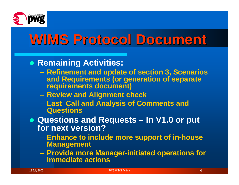

# **WIMS Protocol Document WIMS Protocol Document**

#### **• Remaining Activities:**

- **Refinement and update of section 3, Scenarios and Requirements (or generation of separate requirements document)**
- **Review and Alignment check**
- – **Last Call and Analysis of Comments and Questions**
- z **Questions and Requests – In V1.0 or put for next version?**
	- **Enhance to include more support of in-house Management**
	- **Provide more Manager-initiated operations for immediate actions**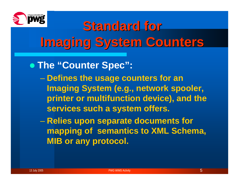

#### z **The "Counter Spec":**

- **Defines the usage counters for an Imaging System (e.g., network spooler, printer or multifunction device), and the services such a system offers.**
- **Hart Communication Relies upon separate documents for mapping of semantics to XML Schema, MIB or any protocol.**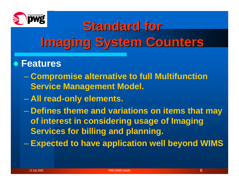

#### z **Features**

- **Compromise alternative to full Multifunction Service Management Model.**
- $\mathcal{L}_{\mathcal{A}}$  , and the set of the set of the set of the set of the set of the set of the set of the set of the set of the set of the set of the set of the set of the set of the set of the set of the set of the set of th **All read-only elements.**
- Paris Paris II.<br>Politika **Defines theme and variations on items that may of interest in considering usage of Imaging Services for billing and planning.**
- Paris Paris II.<br>Politika **Expected to have application well beyond WIMS**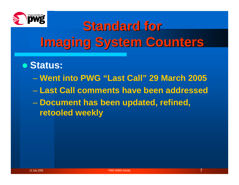

#### z **Status:**

- **Went into PWG "Last Call" 29 March 2005**
- **Last Call comments have been addressed**
- **Document has been updated, refined, retooled weekly**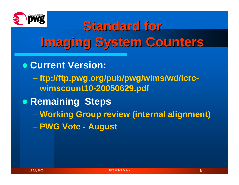

- **Current Version:** 
	- **ftp://ftp.pwg.org/pub/pwg/wims/wd/lcrcwimscount10-20050629.pdf**
- **Remaining Steps** 
	- **Working Group review (internal alignment)** – **PWG Vote - August**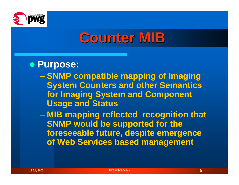

## **Counter MIB Counter MIB**

#### **• Purpose:**

- **SNMP compatible mapping of Imaging System Counters and other Semantics for Imaging System and Component Usage and Status**
- **Links and State MIB mapping reflected recognition that SNMP would be supported for the foreseeable future, despite emergence of Web Services based management**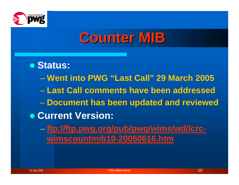

## **Counter MIB Counter MIB**

z **Status:** – **Went into PWG "Last Call" 29 March 2005**  – **Last Call comments have been addressed Document has been updated and reviewed**  $\bullet$  **Current Version: [ftp://ftp.pwg.org/pub/pwg/wims/wd/lcrc](ftp://ftp.pwg.org/pub/pwg/wims/wd/lcrc-wimscountmib10-20050616.htm)[wimscountmib10-20050616.htm](ftp://ftp.pwg.org/pub/pwg/wims/wd/lcrc-wimscountmib10-20050616.htm)**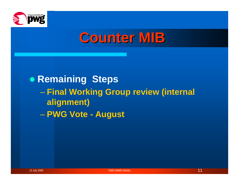

## **Counter MIB Counter MIB**

#### **• Remaining Steps Final Working Group review (internal alignment)** – **PWG Vote - August**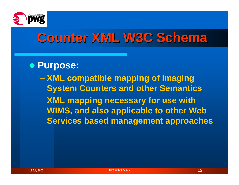

## **Counter XML W3C Schema Counter XML W3C Schema**

#### **• Purpose:**

- **XML compatible mapping of Imaging System Counters and other Semantics**
- **Hart Communication XML mapping necessary for use with WIMS, and also applicable to other Web Services based management approaches**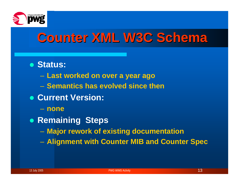

## **Counter XML W3C Schema Counter XML W3C Schema**

- z **Status:**
	- –**Last worked on over a year ago**
	- **Semantics has evolved since then**
- **Current Version:** 
	- **none**
- **Remaining Steps** 
	- **Major rework of existing documentation**
	- –**Alignment with Counter MIB and Counter Spec**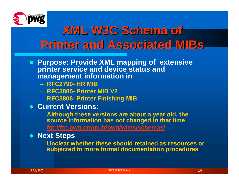

### **XML W3C Schema of XML W3C Schema of Printer and Associated Printer and Associated MIBs**

- **Purpose: Provide XML mapping of extensive printer service and device status and management information in** 
	- **RFC2790- HR MIB**
	- **RFC3805- Printer MIB V2**
	- **RFC3806- Printer Finishing MIB**
- **Current Versions:** 
	- **Although these versions are about a year old, the source information has not changed in that time**
	- **<ftp://ftp.pwg.org/pub/pwg/wims/schemas/>**
- **Next Steps** 
	- **Unclear whether these should retained as resources or subjected to more formal documentation procedures**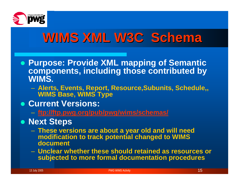

## **WIMS XML W3C Schema WIMS XML W3C Schema**

- z **Purpose: Provide XML mapping of Semantic components, including those contributed by WIMS.** 
	- **Alerts, Events, Report, Resource,Subunits, Schedule,, WIMS Base, WIMS Type**
- **Current Versions:** 
	- **[ftp://ftp.pwg.org/pub/pwg/wims/s](ftp://ftp.pwg.org/pub/pwg/wims/schemas/) chemas/**
- **Next Steps** 
	- **These versions are about a year old and will need modification to track potential changed to WIMS document**
	- **Unclear whether these should retained as resources or subjected to more formal documentation procedures**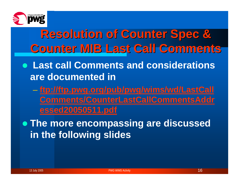

### **Resolution of Counter Spec & Resolution of Counter Spec & Counter MIB Last Call Comments Counter MIB Last Call Comments**

- z **Last call Comments and considerations are documented in**
	- **[ftp://ftp.pwg.org/pub/pwg/wims/wd/LastCall](ftp://ftp.pwg.org/pub/pwg/wims/wd/LastCallComments/CounterLastCallCommentsAddressed20050511.pdf) [Comments/CounterLastCallCommentsAddr](ftp://ftp.pwg.org/pub/pwg/wims/wd/LastCallComments/CounterLastCallCommentsAddressed20050511.pdf) [essed20050511.pdf](ftp://ftp.pwg.org/pub/pwg/wims/wd/LastCallComments/CounterLastCallCommentsAddressed20050511.pdf)**

**• The more encompassing are discussed in the following slides**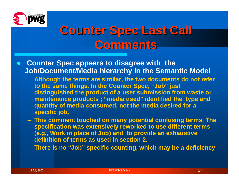

- **Counter Spec appears to disagree with the Job/Document/Media hierarchy in the Semantic Model** 
	- **Although the terms are similar, the two documents do not refer to the same things. In the Counter Spec, "Job" just distinguished the product of a user submission from waste or maintenance products ; "media used" identified the type and quantity of media consumed, not the media desired for a specific job.**
	- **This comment touched on many potential confusing terms. The specification was extensively reworked to use different terms (e.g., Work in place of Job) and to provide an exhaustive definition of terms as used in section 2.**
	- **There is no "Job" specific counting, which may be a deficie ncy**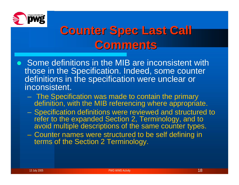

- Some definitions in the MIB are inconsistent with those in the Specification. Indeed, some counter definitions in the specification were unclear or inconsistent.
	- The Specification was made to contain the primary definition, with the MIB referencing where appropriate.
	- Specification definitions were reviewed and structured to refer to the expanded Section 2, Terminology, and to avoid multiple descriptions of the same counter types.
	- Counter names were structured to be self defining in terms of the Section 2 Terminology.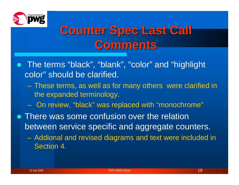

- The terms "black", "blank", "color" and "highlight color" should be clarified.
	- These terms, as well as for many others were clarified in the expanded terminology.
	- On review, "black" was replaced with "monochrome"
- There was some confusion over the relation between service specific and aggregate counters.
	- Addional and revised diagrams and text were included in Section 4.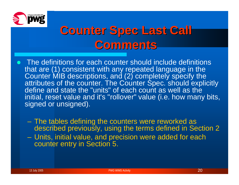

- $\bullet$  The definitions for each counter should include definitions that are (1) consistent with any repeated language in the Counter MIB descriptions, and (2) completely specify the attributes of the counter. The Counter Spec. should explicitly define and state the "units" of each count as well as the initial, reset value and it's "rollover" value (i.e. how many bits, signed or unsigned).
	- The tables defining the counters were reworked as described previously, using the terms defined in Section 2
	- Units, initial value, and precision were added for each counter entry in Section 5.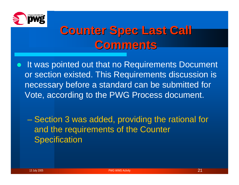

 $\bullet$ It was pointed out that no Requirements Document or section existed. This Requirements discussion is necessary before a standard can be submitted for Vote, according to the PWG Process document.

– Paris Paris II.<br>Politika – Section 3 was added, providing the rational for and the requirements of the Counter **Specification**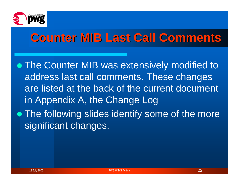

• The Counter MIB was extensively modified to address last call comments. These changes are listed at the back of the current document in Appendix A, the Change Log • The following slides identify some of the more significant changes.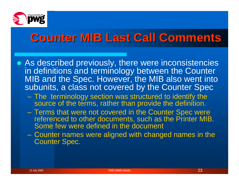

- As described previously, there were inconsistencies in definitions and terminology between the Counter MIB and the Spec. However, the MIB also went into subunits, a class not covered by the Counter Spec
	- The terminology section was structured to identify the source of the terms, rather than provide the definition.
	- Terms that were not covered in the Counter Spec were referenced to other documents, such as the Printer MIB. Some few were defined in the document
	- Counter names were aligned with changed names in the Counter Spec.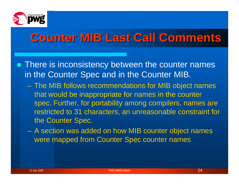

- There is inconsistency between the counter names in the Counter Spec and in the Counter MIB.
	- The MIB follows recommendations for MIB object names that would be inappropriate for names in the counter spec. Further, for portability among compilers, names are restricted to 31 characters, an unreasonable constraint for the Counter Spec.
	- A section was added on how MIB counter object names were mapped from Counter Spec counter names